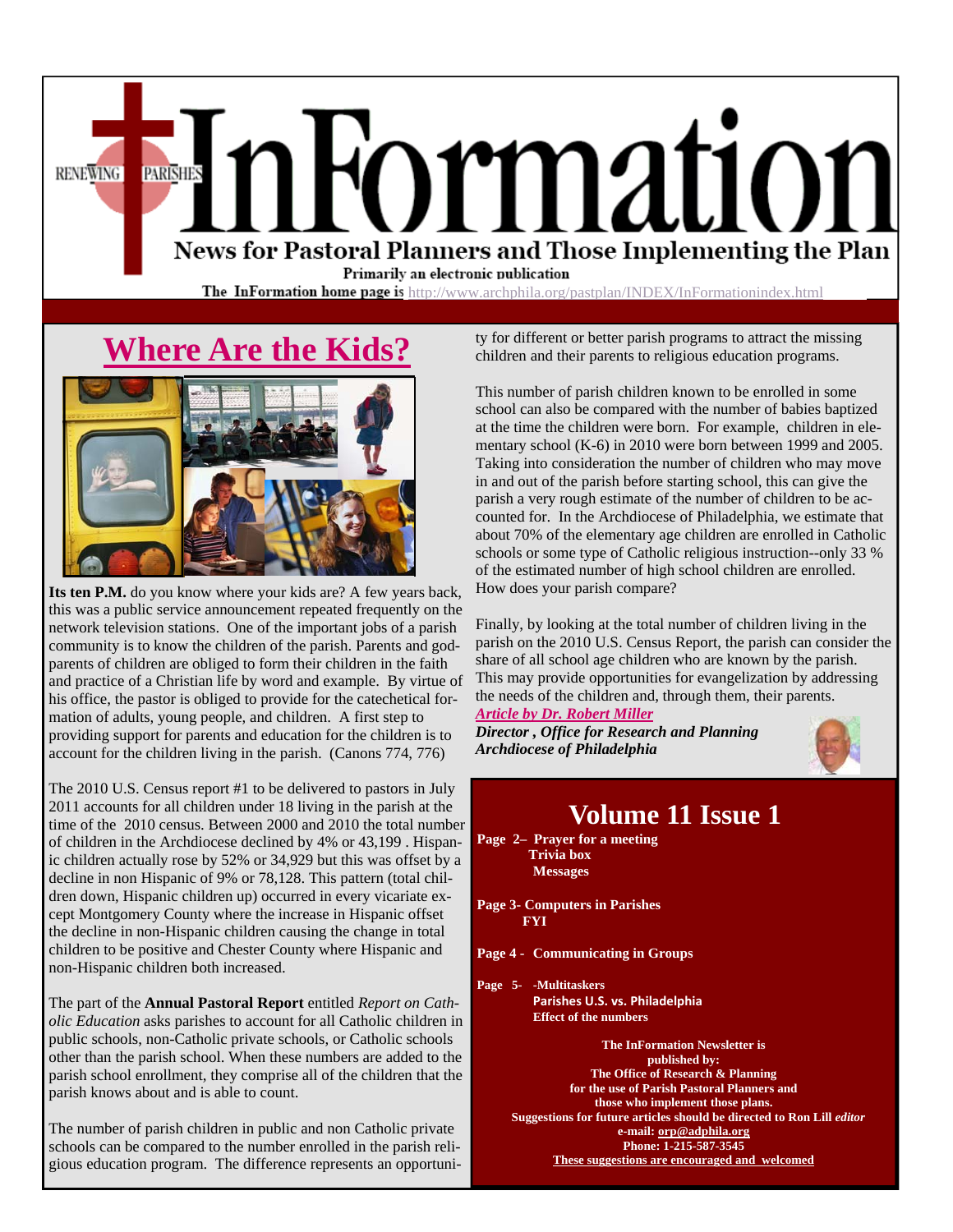News for Pastoral Planners and Those Implementing the Plan Primarily an electronic publication

**The InFormation home page is** http://www.archphila.org/pastplan/INDEX/InFormationindex.html

# **Where Are the Kids?**

**PARISHES** 

**RENEWING** 



**Its ten P.M.** do you know where your kids are? A few years back, this was a public service announcement repeated frequently on the network television stations. One of the important jobs of a parish community is to know the children of the parish. Parents and godparents of children are obliged to form their children in the faith and practice of a Christian life by word and example. By virtue of his office, the pastor is obliged to provide for the catechetical formation of adults, young people, and children. A first step to providing support for parents and education for the children is to account for the children living in the parish. (Canons 774, 776)

The 2010 U.S. Census report #1 to be delivered to pastors in July 2011 accounts for all children under 18 living in the parish at the time of the 2010 census. Between 2000 and 2010 the total number of children in the Archdiocese declined by 4% or 43,199 . Hispanic children actually rose by 52% or 34,929 but this was offset by a decline in non Hispanic of 9% or 78,128. This pattern (total children down, Hispanic children up) occurred in every vicariate except Montgomery County where the increase in Hispanic offset the decline in non-Hispanic children causing the change in total children to be positive and Chester County where Hispanic and non-Hispanic children both increased.

The part of the **Annual Pastoral Report** entitled *Report on Catholic Education* asks parishes to account for all Catholic children in public schools, non-Catholic private schools, or Catholic schools other than the parish school. When these numbers are added to the parish school enrollment, they comprise all of the children that the parish knows about and is able to count.

The number of parish children in public and non Catholic private schools can be compared to the number enrolled in the parish religious education program. The difference represents an opportunity for different or better parish programs to attract the missing children and their parents to religious education programs.

ormation

This number of parish children known to be enrolled in some school can also be compared with the number of babies baptized at the time the children were born. For example, children in elementary school (K-6) in 2010 were born between 1999 and 2005. Taking into consideration the number of children who may move in and out of the parish before starting school, this can give the parish a very rough estimate of the number of children to be accounted for. In the Archdiocese of Philadelphia, we estimate that about 70% of the elementary age children are enrolled in Catholic schools or some type of Catholic religious instruction--only 33 % of the estimated number of high school children are enrolled. How does your parish compare?

Finally, by looking at the total number of children living in the parish on the 2010 U.S. Census Report, the parish can consider the share of all school age children who are known by the parish. This may provide opportunities for evangelization by addressing the needs of the children and, through them, their parents. *Article by Dr. Robert Miller* 

*Director , Office for Research and Planning Archdiocese of Philadelphia* 



### **Volume 11 Issue 1**

**Page 2– Prayer for a meeting Trivia box Messages** 

**Page 3- Computers in Parishes FYI** 

**Page 4 - Communicating in Groups** 

**Page 5- -Multitaskers Parishes U.S. vs. Philadelphia Effect of the numbers** 

> **The InFormation Newsletter is published by: The Office of Research & Planning for the use of Parish Pastoral Planners and those who implement those plans. Suggestions for future articles should be directed to Ron Lill** *editor*  **e-mail: orp@adphila.org Phone: 1-215-587-3545 These suggestions are encouraged and welcomed**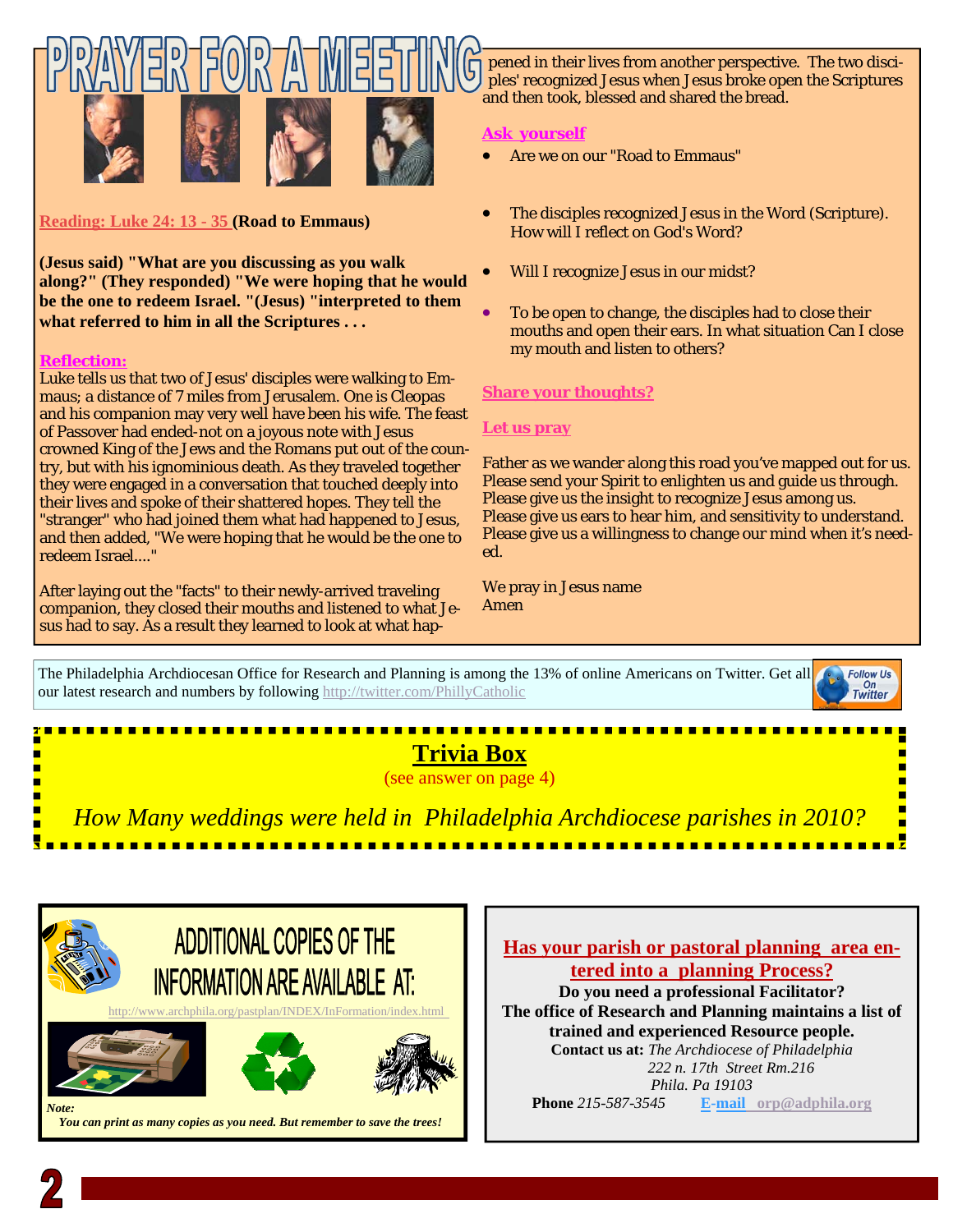



**Reading: Luke 24: 13 - 35 (Road to Emmaus)** 

**(Jesus said) "What are you discussing as you walk along?" (They responded) "We were hoping that he would be the one to redeem Israel. "(Jesus) "interpreted to them what referred to him in all the Scriptures . . .** 

#### **Reflection:**

Luke tells us that two of Jesus' disciples were walking to Emmaus; a distance of 7 miles from Jerusalem. One is Cleopas and his companion may very well have been his wife. The feast of Passover had ended-not on a joyous note with Jesus crowned King of the Jews and the Romans put out of the country, but with his ignominious death. As they traveled together they were engaged in a conversation that touched deeply into their lives and spoke of their shattered hopes. They tell the "stranger" who had joined them what had happened to Jesus, and then added, "We were hoping that he would be the one to redeem Israel...."

After laying out the "facts" to their newly-arrived traveling companion, they closed their mouths and listened to what Jesus had to say. As a result they learned to look at what hap-

 *You can print as many copies as you need. But remember to save the trees!* 

pened in their lives from another perspective. The two disciples' recognized Jesus when Jesus broke open the Scriptures and then took, blessed and shared the bread.

#### **Ask yourself**

- Are we on our "Road to Emmaus"
- The disciples recognized Jesus in the Word (Scripture). How will I reflect on God's Word?
- Will I recognize Jesus in our midst?
- To be open to change, the disciples had to close their mouths and open their ears. In what situation Can I close my mouth and listen to others?

#### **Share your thoughts?**

#### **Let us pray**

Father as we wander along this road you've mapped out for us. Please send your Spirit to enlighten us and guide us through. Please give us the insight to recognize Jesus among us. Please give us ears to hear him, and sensitivity to understand. Please give us a willingness to change our mind when it's needed.

We pray in Jesus name Amen

The Philadelphia Archdiocesan Office for Research and Planning is among the 13% of online Americans on Twitter. Get all **Follow Us**  $On$ our latest research and numbers by following http://twitter.com/PhillyCatholic



**trained and experienced Resource people. Contact us at:** *The Archdiocese of Philadelphia 222 n. 17th Street Rm.216 Phila. Pa 19103 Note:* **Phone** 215-587-3545 **E-mail** orp@adphila.org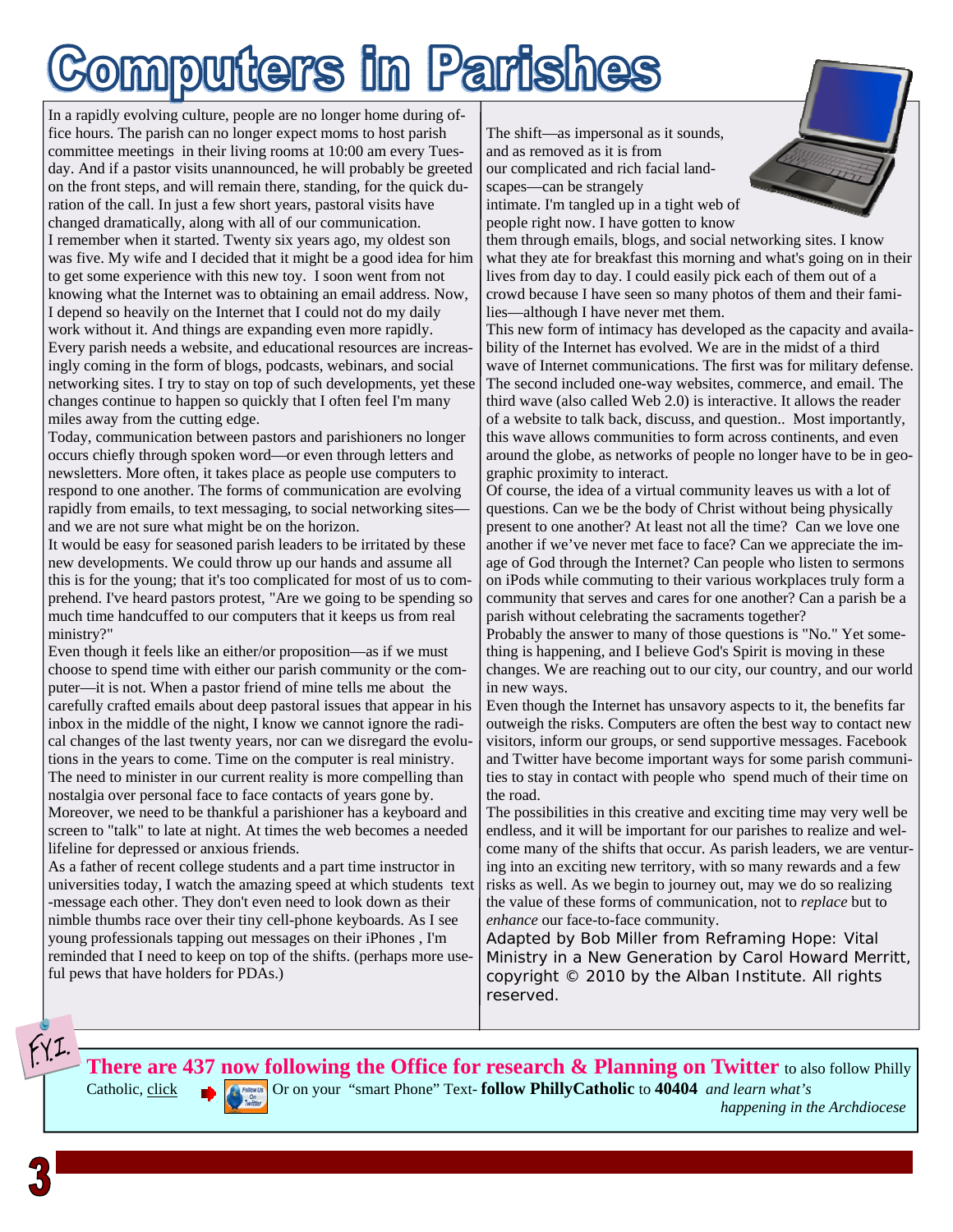# omputers in Parishes

In a rapidly evolving culture, people are no longer home during office hours. The parish can no longer expect moms to host parish committee meetings in their living rooms at 10:00 am every Tuesday. And if a pastor visits unannounced, he will probably be greeted on the front steps, and will remain there, standing, for the quick duration of the call. In just a few short years, pastoral visits have changed dramatically, along with all of our communication. I remember when it started. Twenty six years ago, my oldest son was five. My wife and I decided that it might be a good idea for him to get some experience with this new toy. I soon went from not knowing what the Internet was to obtaining an email address. Now, I depend so heavily on the Internet that I could not do my daily work without it. And things are expanding even more rapidly. Every parish needs a website, and educational resources are increasingly coming in the form of blogs, podcasts, webinars, and social networking sites. I try to stay on top of such developments, yet these changes continue to happen so quickly that I often feel I'm many miles away from the cutting edge.

Today, communication between pastors and parishioners no longer occurs chiefly through spoken word—or even through letters and newsletters. More often, it takes place as people use computers to respond to one another. The forms of communication are evolving rapidly from emails, to text messaging, to social networking sites and we are not sure what might be on the horizon.

It would be easy for seasoned parish leaders to be irritated by these new developments. We could throw up our hands and assume all this is for the young; that it's too complicated for most of us to comprehend. I've heard pastors protest, "Are we going to be spending so much time handcuffed to our computers that it keeps us from real ministry?"

Even though it feels like an either/or proposition—as if we must choose to spend time with either our parish community or the computer—it is not. When a pastor friend of mine tells me about the carefully crafted emails about deep pastoral issues that appear in his inbox in the middle of the night, I know we cannot ignore the radical changes of the last twenty years, nor can we disregard the evolutions in the years to come. Time on the computer is real ministry. The need to minister in our current reality is more compelling than nostalgia over personal face to face contacts of years gone by. Moreover, we need to be thankful a parishioner has a keyboard and screen to "talk" to late at night. At times the web becomes a needed lifeline for depressed or anxious friends.

As a father of recent college students and a part time instructor in universities today, I watch the amazing speed at which students text -message each other. They don't even need to look down as their nimble thumbs race over their tiny cell-phone keyboards. As I see young professionals tapping out messages on their iPhones , I'm reminded that I need to keep on top of the shifts. (perhaps more useful pews that have holders for PDAs.)

The shift—as impersonal as it sounds, and as removed as it is from our complicated and rich facial landscapes—can be strangely

intimate. I'm tangled up in a tight web of people right now. I have gotten to know

them through emails, blogs, and social networking sites. I know what they ate for breakfast this morning and what's going on in their lives from day to day. I could easily pick each of them out of a crowd because I have seen so many photos of them and their families—although I have never met them.

This new form of intimacy has developed as the capacity and availability of the Internet has evolved. We are in the midst of a third wave of Internet communications. The first was for military defense. The second included one-way websites, commerce, and email. The third wave (also called Web 2.0) is interactive. It allows the reader of a website to talk back, discuss, and question.. Most importantly, this wave allows communities to form across continents, and even around the globe, as networks of people no longer have to be in geographic proximity to interact.

Of course, the idea of a virtual community leaves us with a lot of questions. Can we be the body of Christ without being physically present to one another? At least not all the time? Can we love one another if we've never met face to face? Can we appreciate the image of God through the Internet? Can people who listen to sermons on iPods while commuting to their various workplaces truly form a community that serves and cares for one another? Can a parish be a parish without celebrating the sacraments together?

Probably the answer to many of those questions is "No." Yet something is happening, and I believe God's Spirit is moving in these changes. We are reaching out to our city, our country, and our world in new ways.

Even though the Internet has unsavory aspects to it, the benefits far outweigh the risks. Computers are often the best way to contact new visitors, inform our groups, or send supportive messages. Facebook and Twitter have become important ways for some parish communities to stay in contact with people who spend much of their time on the road.

The possibilities in this creative and exciting time may very well be endless, and it will be important for our parishes to realize and welcome many of the shifts that occur. As parish leaders, we are venturing into an exciting new territory, with so many rewards and a few risks as well. As we begin to journey out, may we do so realizing the value of these forms of communication, not to *replace* but to *enhance* our face-to-face community.

Adapted by Bob Miller from Reframing Hope: Vital Ministry in a New Generation by Carol Howard Merritt, copyright © 2010 by the Alban Institute. All rights reserved.

There are 437 now following the Office for research & Planning on Twitter to also follow Philly Catholic, [click](https://twitter.com/#!/phillycatholic) **Catholic** Or on your "smart Phone" Text- **follow PhillyCatholic** to **40404** *and learn what's* 

 *happening in the Archdiocese*

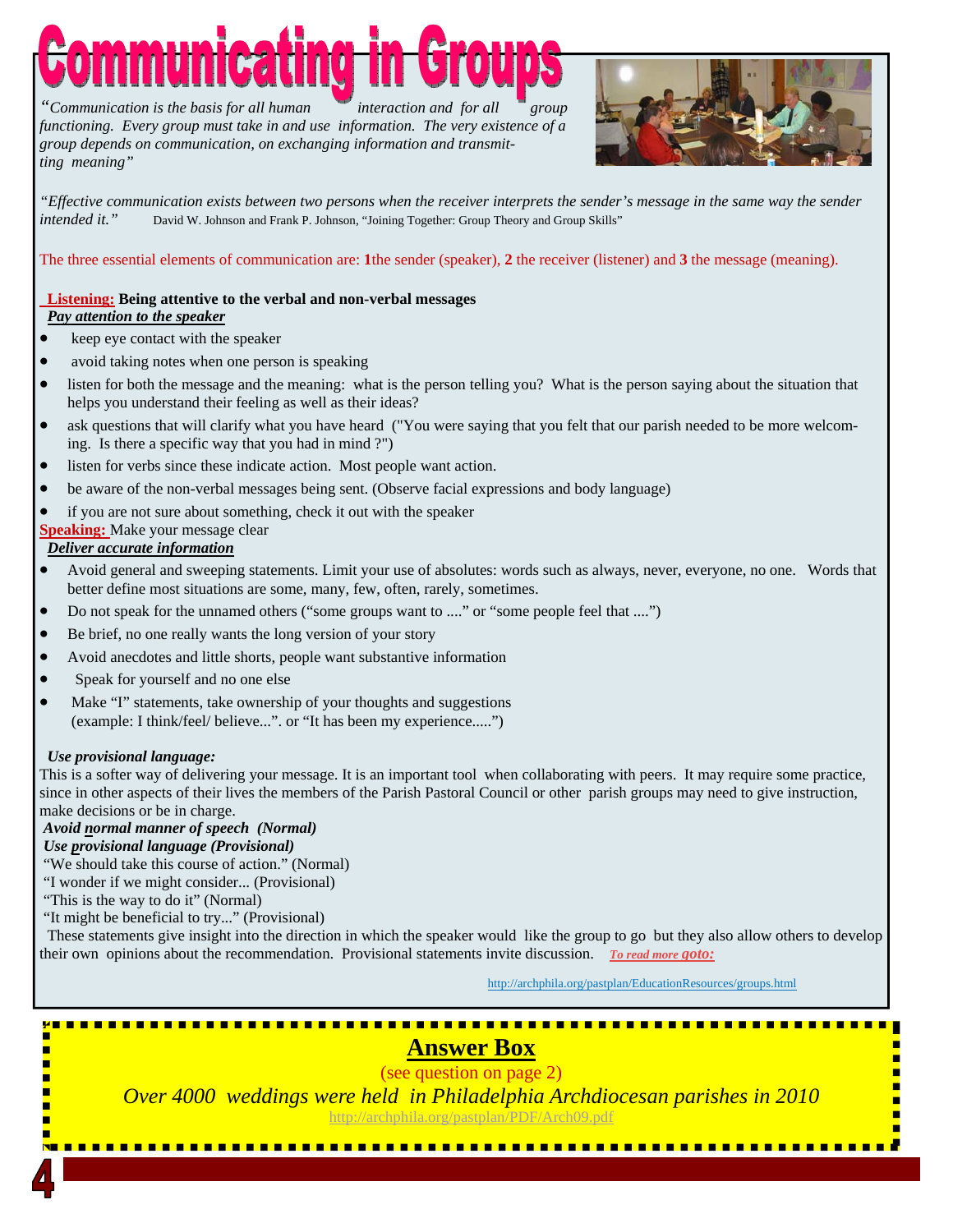*"Communication is the basis for all human interaction and for all group functioning. Every group must take in and use information. The very existence of a group depends on communication, on exchanging information and transmitting meaning"* 



*"Effective communication exists between two persons when the receiver interprets the sender's message in the same way the sender intended it."* David W. Johnson and Frank P. Johnson, "Joining Together: Group Theory and Group Skills"

The three essential elements of communication are: **1**the sender (speaker), **2** the receiver (listener) and **3** the message (meaning).

#### **Listening: Being attentive to the verbal and non-verbal messages**   *Pay attention to the speaker*

- keep eye contact with the speaker
- avoid taking notes when one person is speaking
- listen for both the message and the meaning: what is the person telling you? What is the person saying about the situation that helps you understand their feeling as well as their ideas?
- ask questions that will clarify what you have heard ("You were saying that you felt that our parish needed to be more welcoming. Is there a specific way that you had in mind ?")
- listen for verbs since these indicate action. Most people want action.
- be aware of the non-verbal messages being sent. (Observe facial expressions and body language)
- if you are not sure about something, check it out with the speaker

#### **Speaking:** Make your message clear

#### *Deliver accurate information*

- Avoid general and sweeping statements. Limit your use of absolutes: words such as always, never, everyone, no one. Words that better define most situations are some, many, few, often, rarely, sometimes.
- Do not speak for the unnamed others ("some groups want to ...." or "some people feel that ....")
- Be brief, no one really wants the long version of your story
- Avoid anecdotes and little shorts, people want substantive information
- Speak for yourself and no one else
- Make "I" statements, take ownership of your thoughts and suggestions (example: I think/feel/ believe...". or "It has been my experience.....")

#### *Use provisional language:*

This is a softer way of delivering your message. It is an important tool when collaborating with peers. It may require some practice, since in other aspects of their lives the members of the Parish Pastoral Council or other parish groups may need to give instruction, make decisions or be in charge.

#### *Avoid normal manner of speech (Normal)*

#### *Use provisional language (Provisional)*

"We should take this course of action." (Normal)

- "I wonder if we might consider... (Provisional)
- "This is the way to do it" (Normal)
- "It might be beneficial to try..." (Provisional)

 These statements give insight into the direction in which the speaker would like the group to go but they also allow others to develop their own opinions about the recommendation. Provisional statements invite discussion. *To read more goto:* 

http://archphila.org/pastplan/EducationResources/groups.html

<u>.......................</u>

# **Answer Box**

(see question on page 2)

*Over 4000 weddings were held in Philadelphia Archdiocesan parishes in 2010* 

http://archphila.org/pastplan/PDF/Arch09.pdf